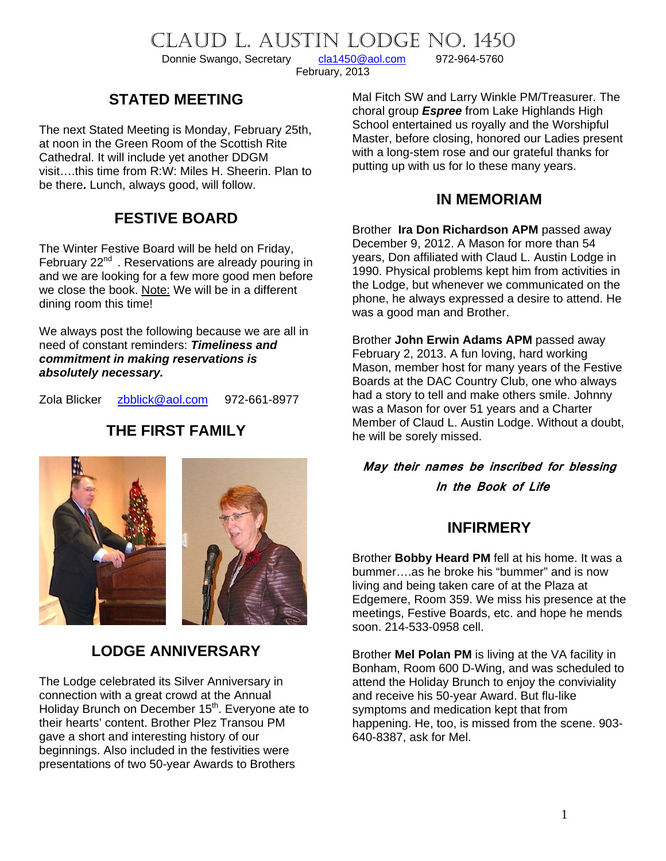# CLAUD L. AUSTIN LODGE NO. 1450<br>Donnie Swango, Secretary cla1450@aol.com 972-964-5760

Donnie Swango, Secretary [cla1450@aol.com](mailto:cla1450@aol.com) 972-964-5760 February, 2013

**STATED MEETING**

The next Stated Meeting is Monday, February 25th, at noon in the Green Room of the Scottish Rite Cathedral. It will include yet another DDGM visit….this time from R:W: Miles H. Sheerin. Plan to be there**.** Lunch, always good, will follow.

## **FESTIVE BOARD**

The Winter Festive Board will be held on Friday, February  $22^{nd}$ . Reservations are already pouring in and we are looking for a few more good men before we close the book. Note: We will be in a different dining room this time!

We always post the following because we are all in need of constant reminders: *Timeliness and commitment in making reservations is absolutely necessary.* 

Zola Blicker [zbblick@aol.com](mailto:zbblick@aol.com) 972-661-8977

## **THE FIRST FAMILY**



# **LODGE ANNIVERSARY**

The Lodge celebrated its Silver Anniversary in connection with a great crowd at the Annual Holiday Brunch on December 15<sup>th</sup>. Everyone ate to their hearts' content. Brother Plez Transou PM gave a short and interesting history of our beginnings. Also included in the festivities were presentations of two 50-year Awards to Brothers

Mal Fitch SW and Larry Winkle PM/Treasurer. The choral group *Espree* from Lake Highlands High School entertained us royally and the Worshipful Master, before closing, honored our Ladies present with a long-stem rose and our grateful thanks for putting up with us for lo these many years.

#### **IN MEMORIAM**

Brother **Ira Don Richardson APM** passed away December 9, 2012. A Mason for more than 54 years, Don affiliated with Claud L. Austin Lodge in 1990. Physical problems kept him from activities in the Lodge, but whenever we communicated on the phone, he always expressed a desire to attend. He was a good man and Brother.

Brother **John Erwin Adams APM** passed away February 2, 2013. A fun loving, hard working Mason, member host for many years of the Festive Boards at the DAC Country Club, one who always had a story to tell and make others smile. Johnny was a Mason for over 51 years and a Charter Member of Claud L. Austin Lodge. Without a doubt, he will be sorely missed.

**May their names be inscribed for blessing In the Book of Life** 

## **INFIRMERY**

Brother **Bobby Heard PM** fell at his home. It was a bummer….as he broke his "bummer" and is now living and being taken care of at the Plaza at Edgemere, Room 359. We miss his presence at the meetings, Festive Boards, etc. and hope he mends soon. 214-533-0958 cell.

Brother **Mel Polan PM** is living at the VA facility in Bonham, Room 600 D-Wing, and was scheduled to attend the Holiday Brunch to enjoy the conviviality and receive his 50-year Award. But flu-like symptoms and medication kept that from happening. He, too, is missed from the scene. 903- 640-8387, ask for Mel.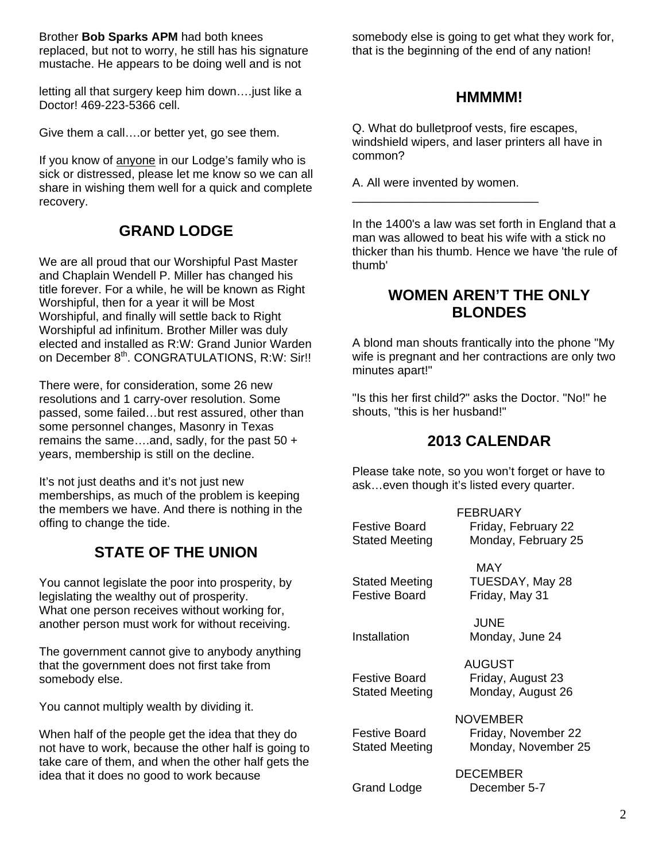Brother **Bob Sparks APM** had both knees replaced, but not to worry, he still has his signature mustache. He appears to be doing well and is not

letting all that surgery keep him down….just like a Doctor! 469-223-5366 cell.

Give them a call….or better yet, go see them.

If you know of anyone in our Lodge's family who is sick or distressed, please let me know so we can all share in wishing them well for a quick and complete recovery.

#### **GRAND LODGE**

We are all proud that our Worshipful Past Master and Chaplain Wendell P. Miller has changed his title forever. For a while, he will be known as Right Worshipful, then for a year it will be Most Worshipful, and finally will settle back to Right Worshipful ad infinitum. Brother Miller was duly elected and installed as R:W: Grand Junior Warden on December 8<sup>th</sup>. CONGRATULATIONS, R:W: Sir!!

There were, for consideration, some 26 new resolutions and 1 carry-over resolution. Some passed, some failed…but rest assured, other than some personnel changes, Masonry in Texas remains the same….and, sadly, for the past 50 + years, membership is still on the decline.

It's not just deaths and it's not just new memberships, as much of the problem is keeping the members we have. And there is nothing in the offing to change the tide.

## **STATE OF THE UNION**

You cannot legislate the poor into prosperity, by legislating the wealthy out of prosperity. What one person receives without working for, another person must work for without receiving.

The government cannot give to anybody anything that the government does not first take from somebody else.

You cannot multiply wealth by dividing it.

When half of the people get the idea that they do not have to work, because the other half is going to take care of them, and when the other half gets the idea that it does no good to work because

somebody else is going to get what they work for, that is the beginning of the end of any nation!

#### **HMMMM!**

Q. What do bulletproof vests, fire escapes, windshield wipers, and laser printers all have in common?

A. All were invented by women.

\_\_\_\_\_\_\_\_\_\_\_\_\_\_\_\_\_\_\_\_\_\_\_\_\_\_\_\_

In the 1400's a law was set forth in England that a man was allowed to beat his wife with a stick no thicker than his thumb. Hence we have 'the rule of thumb'

#### **WOMEN AREN'T THE ONLY BLONDES**

A blond man shouts frantically into the phone "My wife is pregnant and her contractions are only two minutes apart!"

"Is this her first child?" asks the Doctor. "No!" he shouts, "this is her husband!"

#### **2013 CALENDAR**

Please take note, so you won't forget or have to ask…even though it's listed every quarter.

| Festive Board<br><b>Stated Meeting</b> | FEBRUARY<br>Friday, February 22<br>Monday, February 25  |
|----------------------------------------|---------------------------------------------------------|
| Stated Meeting<br><b>Festive Board</b> | MAY<br>TUESDAY, May 28<br>Friday, May 31                |
| Installation                           | JUNE<br>Monday, June 24                                 |
| Festive Board<br>Stated Meeting        | <b>AUGUST</b><br>Friday, August 23<br>Monday, August 26 |
| <b>Festive Board</b><br>Stated Meeting | NOVEMBER<br>Friday, November 22<br>Monday, November 25  |
| Grand Lodge                            | DECEMBER<br>December 5-7                                |